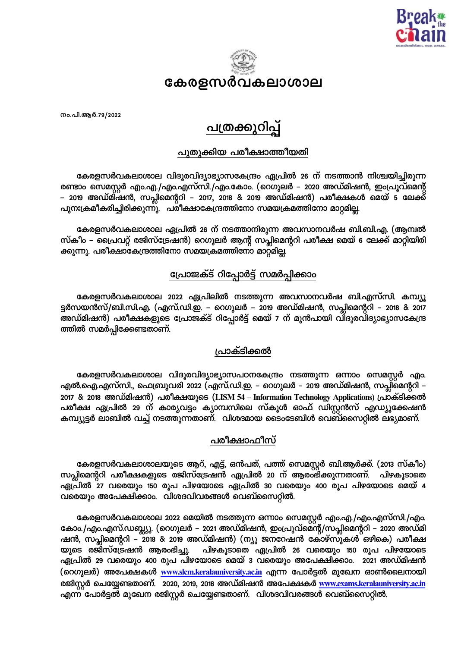



നം.പി.ആർ.79/2022

# <u>പത്രക്കുറിപ്പ</u>

# പുതുക്കിയ പരീക്ഷാത്തീയതി

കേരളസർവകലാശാല വിദൂരവിദ്യാഭ്യാസകേന്ദ്രം ഏപ്രിൽ 26 ന് നടത്താൻ നിശ്ചയിച്ചിരുന്ന രണ്ടാം സെമസ്റ്റർ എം.എ./എം.എസ്സി./എം.കോം. (റെഗുലർ – 2020 അഡ്മിഷൻ, ഇംപ്രൂവ്മെന്റ് – 2019 അഡ്മിഷൻ, സപ്ലിമെന്ററി – 2017, 2018 & 2019 അഡ്മിഷൻ) പരീക്ഷകൾ മെയ് 5 ലേക്ക് പുനഃക്രമീകരിച്ചിരിക്കുന്നു. പരീക്ഷാകേന്ദ്രത്തിനോ സമയക്രമത്തിനോ മാറ്റമില്ല.

കേരളസർവകലാശാല ഏപ്രിൽ 26 ന് നടത്താനിരുന്ന അവസാനവർഷ ബി.ബി.എ. (ആന്വൽ സ്കീം – പ്രൈവറ്റ് രജിസ്ട്രേഷൻ) റെഗുലർ ആന്റ് സപ്ലിമെന്ററി പരീക്ഷ മെയ് 6 ലേക്ക് മാറ്റിയിരി ക്കുന്നു. പരീക്ഷാകേന്ദ്രത്തിനോ സമയക്രമത്തിനോ മാറ്റമില്ല

# പ്രോജക്ട് റിപ്പോർട്ട് സമർപ്പിക്കാം

കേരളസർവകലാശാല 2022 ഏപ്രിലിൽ നടത്തുന്ന അവസാനവർഷ ബി.എസ്സി. കമ്പ്യൂ ട്ടർസയൻസ്/ബി.സി.എ. (എസ്.ഡി.ഇ. – റെഗുലർ – 2019 അഡ്മിഷൻ, സപ്ലിമെന്ററി – 2018 & 2017 അഡ്മിഷൻ) പരീക്ഷകളുടെ പ്രോജക്ട് റിപ്പോർട്ട് മെയ് 7 ന് മുൻപായി വിദൂരവിദ്യാഭ്യാസകേന്ദ്ര ത്തിൽ സമർപ്പിക്കേണ്ടതാണ്.

# ്രവാക്ടിക്കൽ

കേരളസർവകലാശാല വിദൂരവിദ്യാഭ്യാസപഠനകേന്ദ്രം നടത്തുന്ന ഒന്നാം സെമസ്റ്റർ എം എൽ.ഐ.എസ്സി., ഫെബ്രുവരി 2022 (എസ്.ഡി.ഇ. – റെഗുലർ – 2019 അഡ്മിഷൻ, സപ്ലിമെന്ററി – 2017 & 2018 അഡ്മിഷൻ) പരീക്ഷയുടെ (LISM 54 – Information Technology Applications) പ്രാക്ടിക്കൽ പരീക്ഷ ഏപ്രിൽ 29 ന് കാര്യവട്ടം ക്യാമ്പസിലെ സ്കൂൾ ഓഫ് ഡിസ്റ്റൻസ് എഡ്യൂക്കേഷൻ കമ്പ്യൂട്ടർ ലാബിൽ വച്ച് നടത്തുന്നതാണ്. വിശദമായ ടൈംടേബിൾ വെബ്സൈറ്റിൽ ലഭ്യമാണ്.

# പരീക്ഷാഫീസ്

കേരളസർവകലാശാലയുടെ ആറ്, എട്ട്, ഒൻപത്, പത്ത് സെമസ്റ്റർ ബി.ആർക്ക്. (2013 സ്കീം) സപ്ലിമെന്ററി പരീക്ഷകളുടെ രജിസ്ട്രേഷൻ ഏപ്രിൽ 20 ന് ആരംഭിക്കുന്നതാണ്. പിഴകൂടാതെ ഏപ്രിൽ 27 വരെയും 150 രൂപ പിഴയോടെ ഏപ്രിൽ 30 വരെയും 400 രൂപ പിഴയോടെ മെയ് 4 വരെയും അപേക്ഷിക്കാം. വിശദവിവരങ്ങൾ വെബ്സൈറ്റിൽ.

കേരളസർവകലാശാല 2022 മെയിൽ നടത്തുന്ന ഒന്നാം സെമസ്റ്റർ എം.എ./എം.എസ്സി./എം. കോം./എം.എസ്.ഡബ്ല്യൂ. (റെഗുലർ – 2021 അഡ്മിഷൻ, ഇംപ്രൂവ്മെന്റ്/സപ്ലിമെന്ററി – 2020 അഡ്മി ഷൻ, സപ്ലിമെന്ററി – 2018 & 2019 അഡ്മിഷൻ) (ന്യൂ ജനറേഷൻ കോഴ്സുകൾ ഒഴികെ) പരീക്ഷ യുടെ രജിസ്ട്രേഷൻ ആരംഭിച്ചു. ഏപ്രിൽ 29 വരെയും 400 രൂപ പിഴയോടെ മെയ് 3 വരെയും അപേക്ഷിക്കാം. 2021 അഡ്മിഷൻ (റെഗുലർ) അപേക്ഷകൾ <u>www.slcm.keralauniversity.ac.in</u> എന്ന പോർട്ടൽ മുഖേന ഓൺലൈനായി രജിസ്റ്റർ ചെയ്യേണ്ടതാണ്. 2020, 2019, 2018 അഡ്മിഷൻ അപേക്ഷകർ <u>www.exams.keralauniversity.ac.in</u> എന്ന പോർട്ടൽ മുഖേന രജിസ്റ്റർ ചെയ്യേണ്ടതാണ്. വിശദവിവരങ്ങൾ വെബ്സൈറ്റിൽ. ഷൻ ആരംഭിച്ചു. പിഴകൂടാതെ ഏപ്രിൽ 26 വരെയും 150 രൂപ പിഴയോടെ